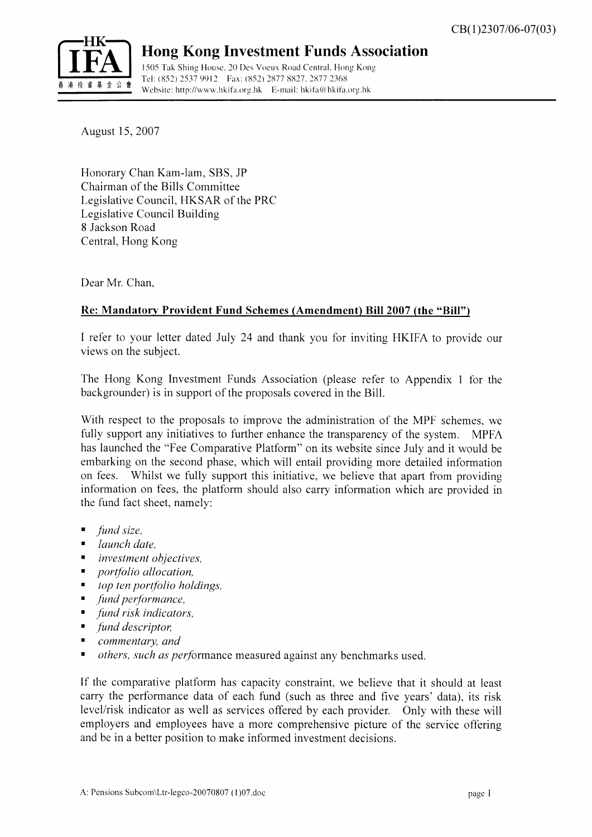

## Hong Kong Investment Funds Association

1505 Tak Shing House, 20 Des Voeux Road Central, Hong Kong Tel:  $(852) 2537 9912$  Fax:  $(852) 2877 88$ <br>  $\overline{a}$   $\overline{b}$   $\overline{c}$   $\overline{d}$   $\overline{d}$   $\overline{d}$   $\overline{d}$   $\overline{d}$   $\overline{e}$   $\overline{f}$   $\overline{f}$   $\overline{f}$   $\overline{f}$   $\overline{f}$   $\overline{f}$   $\overline{f}$   $\overline{f}$   $\overline{f}$   $\overline{f}$   $\overline{$ Website: http://www.hkifa.org.hk E-mail: hkifa@hkifa.org.hk

August 15,2007

Honorary Chan Kam-lam, SBS, JP Chairman of the Bills Committee Legislative Council. HKSAR of the PRC Legislative Council Building B Jackson Road Central, Hong Kong

Dear Mr. Chan,

### Re: Mandatory Provident Fund Schemes (Amendment) Bill 2007 (the "Bill")

I refer to your letter dated July 24 and thank you for inviting HKIFA to provide our views on the subject.

The Hong Kong Investment Funds Association (please refer to Appendix 1 for the backgrounder) is in support of the proposals covered in the Bill.

With respect to the proposals to improve the administration of the MPF schemes, we fully support any initiatives to further enhance the transparency of the system. MPFA has launched the "Fee Comparative Platform" on its website since July and it would be embarking on the second phase, which will entail providing more detailed information on fees. Whilst we fully support this initiative, we believe that apart fiom providing information on fees, the platform should also carry information which are provided in the fund fact sheet. namelv:

- fund size.
- . launch date,
- investment objectives,
- portfolio allocation,
- top ten portfolio holdings,
- fund performance,
- . fund risk indicators,
- fund descriptor,
- ' commentary, and
- others, such as performance measured against any benchmarks used.

If the comparative platform has capacity constraint. we believe that it should at least carry the performance data of each fund (such as three and five years' data), its risk level/risk indicator as well as services offered by each provider. Only with these will employers and employees have a more comprehensive picture of the service offering and be in a better position to make informed investment decisions.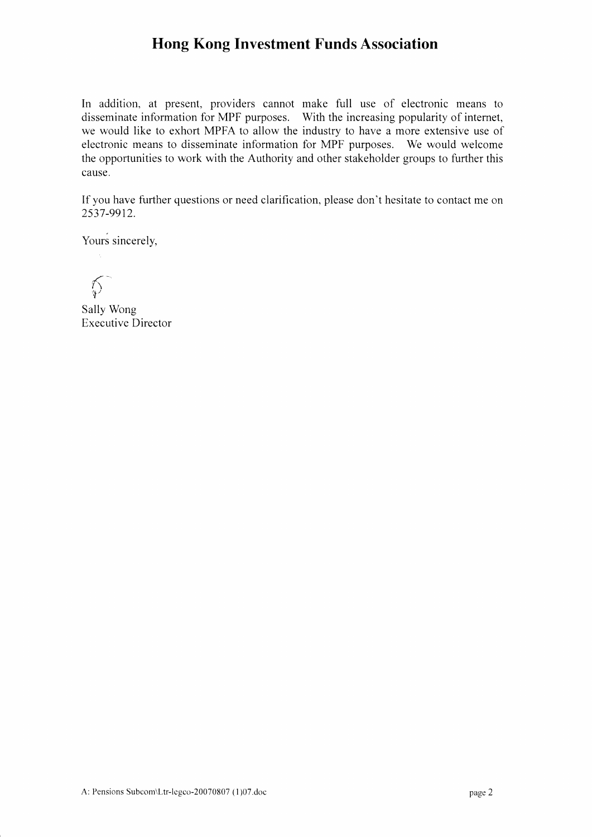# Hong Kong Investment Funds Association

In addition, at present, providers cannot make full use of electronic means to disseminate information for MPF purposes. With the increasing popularity of internet, we would like to exhort MPFA to allow the industry to have a more extensive use of electronic means to disseminate information for MPF purposes. We would welcome the opportunities to work with the Authority and other stakeholder groups to further this cause.

If you have further questions or need clarification, please don't hesitate to contact me on 2537 -9912.

Yours sincerely,

 $\oint$ 

Sally Wong Executive Director